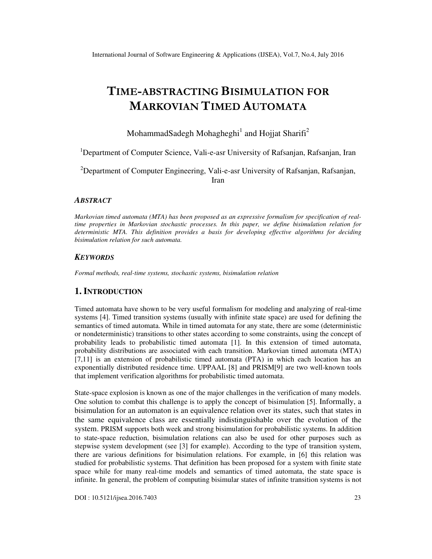# **TIME-ABSTRACTING BISIMULATION FOR MARKOVIAN TIMED AUTOMATA**

MohammadSadegh Mohagheghi $^1$  and Hojjat Sharifi<sup>2</sup>

<sup>1</sup>Department of Computer Science, Vali-e-asr University of Rafsanjan, Rafsanjan, Iran

<sup>2</sup>Department of Computer Engineering, Vali-e-asr University of Rafsanjan, Rafsanjan, Iran

#### *ABSTRACT*

*Markovian timed automata (MTA) has been proposed as an expressive formalism for specification of realtime properties in Markovian stochastic processes. In this paper, we define bisimulation relation for deterministic MTA. This definition provides a basis for developing effective algorithms for deciding bisimulation relation for such automata.* 

#### *KEYWORDS*

*Formal methods, real-time systems, stochastic systems, bisimulation relation* 

## **1. INTRODUCTION**

Timed automata have shown to be very useful formalism for modeling and analyzing of real-time systems [4]. Timed transition systems (usually with infinite state space) are used for defining the semantics of timed automata. While in timed automata for any state, there are some (deterministic or nondeterministic) transitions to other states according to some constraints, using the concept of probability leads to probabilistic timed automata [1]. In this extension of timed automata, probability distributions are associated with each transition. Markovian timed automata (MTA) [7,11] is an extension of probabilistic timed automata (PTA) in which each location has an exponentially distributed residence time. UPPAAL [8] and PRISM[9] are two well-known tools that implement verification algorithms for probabilistic timed automata.

State-space explosion is known as one of the major challenges in the verification of many models. One solution to combat this challenge is to apply the concept of bisimulation [5]. Informally, a bisimulation for an automaton is an equivalence relation over its states, such that states in the same equivalence class are essentially indistinguishable over the evolution of the system. PRISM supports both week and strong bisimulation for probabilistic systems. In addition to state-space reduction, bisimulation relations can also be used for other purposes such as stepwise system development (see [3] for example). According to the type of transition system, there are various definitions for bisimulation relations. For example, in [6] this relation was studied for probabilistic systems. That definition has been proposed for a system with finite state space while for many real-time models and semantics of timed automata, the state space is infinite. In general, the problem of computing bisimular states of infinite transition systems is not

DOI : 10.5121/ijsea.2016.7403 23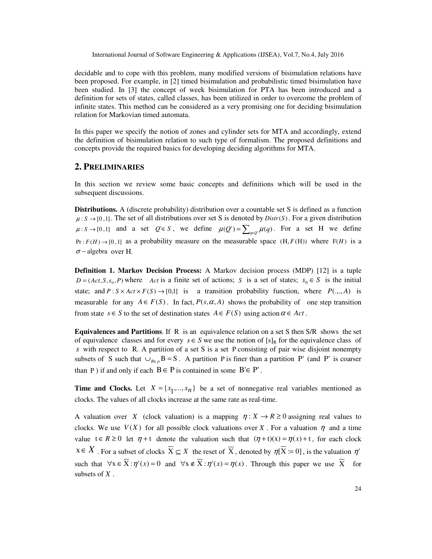International Journal of Software Engineering & Applications (IJSEA), Vol.7, No.4, July 2016

decidable and to cope with this problem, many modified versions of bisimulation relations have been proposed. For example, in [2] timed bisimulation and probabilistic timed bisimulation have been studied. In [3] the concept of week bisimulation for PTA has been introduced and a definition for sets of states, called classes, has been utilized in order to overcome the problem of infinite states. This method can be considered as a very promising one for deciding bisimulation relation for Markovian timed automata.

In this paper we specify the notion of zones and cylinder sets for MTA and accordingly, extend the definition of bisimulation relation to such type of formalism. The proposed definitions and concepts provide the required basics for developing deciding algorithms for MTA.

## **2. PRELIMINARIES**

In this section we review some basic concepts and definitions which will be used in the subsequent discussions.

**Distributions.** A (discrete probability) distribution over a countable set S is defined as a function  $\mu: S \to [0,1]$ . The set of all distributions over set S is denoted by *Distr* (S). For a given distribution  $\mu: S \to [0,1]$  and a set *Q*'∈ *S*, we define  $\mu(Q') = \sum_{q \in Q'} \mu(q)$ . For a set H we define  $Pr: F(H) \rightarrow [0,1]$  as a probability measure on the measurable space  $(H, F(H))$  where  $F(H)$  is a  $\sigma$  – algebra over H.

**Definition 1. Markov Decision Process:** A Markov decision process (MDP) [12] is a tuple  $D = (Act, S, s_0, P)$  where *Act* is a finite set of actions; *S* is a set of states;  $s_0 \in S$  is the initial state; and  $P: S \times Act \times F(S) \rightarrow [0,1]$  is a transition probability function, where  $P(..., A)$  is measurable for any  $A \in F(S)$ . In fact,  $P(s, \alpha, A)$  shows the probability of one step transition from state  $s \in S$  to the set of destination states  $A \in F(S)$  using action  $\alpha \in Act$ .

**Equivalences and Partitions**. If R is an equivalence relation on a set S then S/R shows the set of equivalence classes and for every  $s \in S$  we use the notion of  $[s]_R$  for the equivalence class of *s* with respect to R. A partition of a set S is a set P consisting of pair wise disjoint nonempty subsets of S such that  $\bigcup_{B \in p} B = S$ . A partition P is finer than a partition P' (and P' is coarser than P) if and only if each  $B \in P$  is contained in some  $B' \in P'$ .

**Time and Clocks.** Let  $X = \{x_1, ..., x_n\}$  be a set of nonnegative real variables mentioned as clocks. The values of all clocks increase at the same rate as real-time.

A valuation over *X* (clock valuation) is a mapping  $\eta: X \to R \ge 0$  assigning real values to clocks. We use  $V(X)$  for all possible clock valuations over X. For a valuation  $\eta$  and a time value  $t \in R \ge 0$  let  $\eta + t$  denote the valuation such that  $(\eta + t)(x) = \eta(x) + t$ , for each clock  $x \in X$ . For a subset of clocks  $\overline{X} \subseteq X$  the reset of  $\overline{X}$ , denoted by  $\eta[\overline{X} := 0]$ , is the valuation  $\eta'$ such that  $\forall x \in \overline{X} : \eta'(x) = 0$  and  $\forall x \notin \overline{X} : \eta'(x) = \eta(x)$ . Through this paper we use  $\overline{X}$  for subsets of *X* .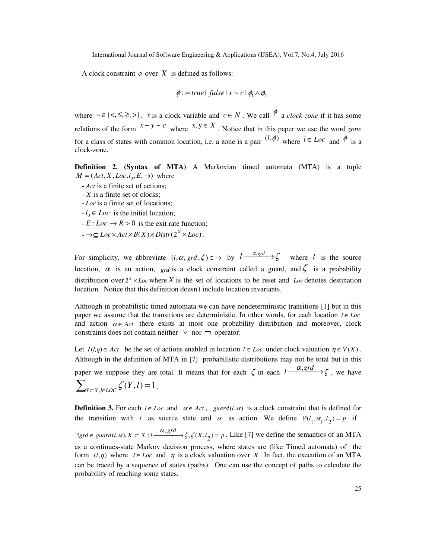A clock constraint  $\phi$  over X is defined as follows:

$$
\phi ::= true \mid false \mid x \sim c \mid \phi_1 \land \phi_2
$$

where  $\sim \in \{ \leq, \leq, \geq, \}$ , *x* is a clock variable and  $c \in N$ . We call  $\phi$  a *clock-zone* if it has some relations of the form  $x - y \sim c$  where  $x, y \in X$ . Notice that in this paper we use the word *zone* for a class of states with common location, i.e. a zone is a pair  $(l, \phi)$  where  $l \in Loc$  and  $\phi$  is a clock-zone.

**Definition 2. (Syntax of MTA)** A Markovian timed automata (MTA) is a tuple  $M = (Act, X, Loc, l_0, E, \rightarrow)$  where

- *Act* is a finite set of actions;
- *X* is a finite set of clocks;
- *Loc* is a finite set of locations;
- $-l_0 \in Loc$  is the initial location;
- $-E: Loc \rightarrow R > 0$  is the exit rate function;
- $-\rightarrow\subseteq Loc\times Act\times B(X)\times Distr(2^X\times Loc)$ .

For simplicity, we abbreviate  $(l, \alpha, \text{grad}, \zeta) \in \rightarrow$  by  $l \xrightarrow{\alpha, \text{grad}} \zeta$  where *l* is the source location,  $\alpha$  is an action, *grd* is a clock constraint called a guard, and  $\zeta$  is a probability distribution over  $2^x \times \text{Loc}$  where *X* is the set of locations to be reset and *Loc* denotes destination location. Notice that this definition doesn't include location invariants.

Although in probabilistic timed automata we can have nondeterministic transitions [1] but in this paper we assume that the transitions are deterministic. In other words, for each location *l* ∈ *Loc* and action  $\alpha \in \text{Act}$  there exists at most one probability distribution and moreover, clock constraints does not contain neither  $\vee$  nor  $\Box$  operator.

Let  $I(l,\eta) \in Act$  be the set of actions enabled in location  $l \in Loc$  under clock valuation  $\eta \in V(X)$ . Although in the definition of MTA in [7] probabilistic distributions may not be total but in this paper we suppose they are total. It means that for each  $\zeta$  in each  $l \frac{a, grd}{\longrightarrow} \zeta$ , we have  $\sum_{Y \subset X, l \in LOC} \zeta(Y, l) = 1$ .

**Definition 3.** For each  $l \in Loc$  and  $\alpha \in Act$ , *guard*  $(l, \alpha)$  is a clock constraint that is defined for the transition with *l* as source state and  $\alpha$  as action. We define  $P(l_1, \alpha_1, l_2) = p$  if  $\exists \text{grad } f(x, \alpha)$ ,  $\overline{X} \subset X : l \xrightarrow{\alpha, \text{grad}} \zeta, \zeta(\overline{X}, l_2) = p$ . Like [7] we define the semantics of an MTA as a continues-state Markov decision process, where states are (like Timed automata) of the

form  $(l,\eta)$  where  $l \in Loc$  and  $\eta$  is a clock valuation over *X*. In fact, the execution of an MTA can be traced by a sequence of states (paths). One can use the concept of paths to calculate the probability of reaching some states.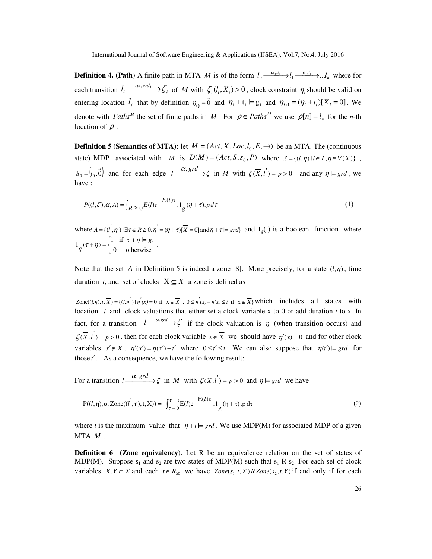**Definition 4. (Path)** A finite path in MTA *M* is of the form  $l_0 \frac{a_0, l_0}{a_1, l_1} l_1 \frac{a_1, l_1}{a_1, l_1} l_2 \dots l_n$  where for each transition  $l_i \frac{a_i, \text{grd}_i}{\longrightarrow} \zeta_i$  $l_i \xrightarrow{\alpha_i, \text{grd}_i} \xi_i$  of *M* with  $\zeta_i(l_i, X_i) > 0$ , clock constraint  $\eta_i$  should be valid on entering location  $l_i$  that by definition  $\eta_0 = \vec{0}$  and  $\eta_i + t_i \models g_i$  and  $\eta_{i+1} = (\eta_i + t_i)[X_i = 0]$ . We denote with *Paths*<sup>*M*</sup> the set of finite paths in *M*. For  $\rho \in Paths^M$  we use  $\rho[n] = l_n$  for the *n*-th location of  $\rho$ .

**Definition 5 (Semantics of MTA):** let  $M = (Act, X, Loc, l_0, E, \rightarrow)$  be an MTA. The (continuous state) MDP associated with *M* is  $D(M) = (Act, S, s_0, P)$  where  $S = \{(l, \eta) | l \in L, \eta \in V(X) \}$ ,  $S_0 = (\ell_0, \vec{0})$  and for each edge  $l \xrightarrow{\alpha, grd} \zeta$  in *M* with  $\zeta(\overline{X}, l) = p > 0$  and any  $\eta \models \text{grad}$ , we have :

$$
P((l,\zeta),\alpha,A) = \int_{R\geq 0} E(l)e^{-E(l)\tau} \cdot 1_g(\eta+\tau).p\,d\tau
$$
\n<sup>(1)</sup>

where  $A = \{(\vec{l}, \vec{\eta}) \mid \exists \tau \in R \ge 0 : \vec{\eta} = (\eta + \tau) \mid \vec{X} = 0\}$  and  $\eta + \tau = \{g \tau d\}$  and  $1_g(.)$  is a boolean function where +  $\eta$ ) =  $\begin{cases} 1 & \text{if } \tau + \eta \models g \\ 0 & \text{otherwise} \end{cases}$  $1 \left( \tau + \eta \right) = \begin{cases} 1 & \text{if } \tau + \eta \models g, \\ 0 & \text{if } \tau \neq g. \end{cases}$ *g*  $(\tau + \eta) = \begin{cases} 1 & \text{if } \tau + \eta = g, \\ 0 & \text{if } \tau \neq \eta. \end{cases}$ 

Note that the set *A* in Definition 5 is indeed a zone [8]. More precisely, for a state  $(l, \eta)$ , time duration *t*, and set of clocks  $\overline{X} \subseteq X$  a zone is defined as

Zone $((l,\eta),t,\overline{X}) = \{(l,\eta') | \eta'(x) = 0 \text{ if } x \in \overline{X}, 0 \le \eta'(x) - \eta(x) \le t \text{ if } x \notin \overline{X}\}\$ which includes all states with location *l* and clock valuations that either set a clock variable x to 0 or add duration *t* to x. In fact, for a transition  $l \frac{a, grd}{\longrightarrow} \zeta$  if the clock valuation is  $\eta$  (when transition occurs) and  $\zeta(\overline{X}, \overline{l}) = p > 0$ , then for each clock variable  $x \in \overline{X}$  we should have  $\eta'(x) = 0$  and for other clock variables  $x' \notin \overline{X}$ ,  $\eta'(x') = \eta(x') + t'$  where  $0 \le t' \le t$ . We can also suppose that  $\eta(t') = \eta(t')$ those *t*′ . As a consequence, we have the following result:

For a transition  $l \xrightarrow{\alpha, \text{grd}} \zeta$  in *M* with  $\zeta(X, l^{\prime}) = p > 0$  and  $\eta \models \text{grd}$  we have

$$
P((l,\eta),\alpha,Zone((l^{'},\eta),t,X)) = \int_{\tau=0}^{\tau=t} E(l)e^{-E(l)\tau} \cdot 1_g(\eta+\tau).p d\tau
$$
 (2)

where *t* is the maximum value that  $\eta + t = \gamma r d$ . We use MDP(M) for associated MDP of a given MTA *M* .

**Definition 6 (Zone equivalency).** Let R be an equivalence relation on the set of states of MDP(M). Suppose  $s_1$  and  $s_2$  are two states of MDP(M) such that  $s_1$  R  $s_2$ . For each set of clock variables  $X, Y \subset X$  and each  $t \in R_{\geq 0}$  we have  $Zone(s_1, t, X)R\text{ }Zone(s_2, t, Y)$  if and only if for each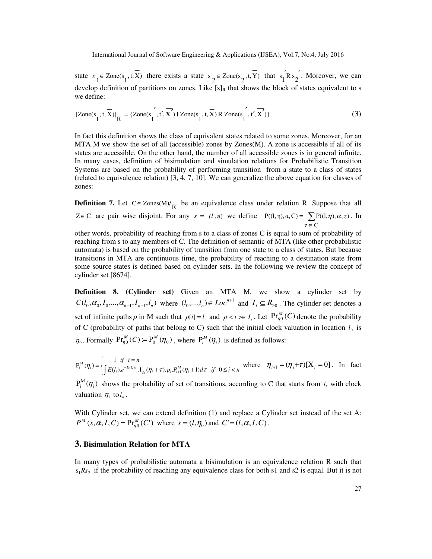state  $s'_1 \in \text{Zone}(s_1, t, \overline{X})$  there exists a state  $s'_2 \in \text{Zone}(s_2, t, \overline{Y})$  that  $s'_1 \hat{R} s'_2$ . Moreover, we can develop definition of partitions on zones. Like  $[s]_R$  that shows the block of states equivalent to s we define:

$$
[\text{Zone}(s_1, t, \overline{X})]_R = \{ \text{Zone}(s_1^{'}, t^{'}, \overline{X^{'}}) \mid \text{Zone}(s_1^{'}, t, \overline{X}) \text{ R } \text{Zone}(s_1^{'}, t^{'}, \overline{X^{'}}) \} \tag{3}
$$

In fact this definition shows the class of equivalent states related to some zones. Moreover, for an MTA M we show the set of all (accessible) zones by Zones(M). A zone is accessible if all of its states are accessible. On the other hand, the number of all accessible zones is in general infinite. In many cases, definition of bisimulation and simulation relations for Probabilistic Transition Systems are based on the probability of performing transition from a state to a class of states (related to equivalence relation) [3, 4, 7, 10]. We can generalize the above equation for classes of zones:

**Definition 7.** Let  $C \in \text{Zones}(M)/\frac{R}{R}$  be an equivalence class under relation R. Suppose that all  $Z \in \mathbb{C}$  are pair wise disjoint. For any  $s = (l, \eta)$  we define  $P((l, \eta), \alpha, C) = \sum P((l, \eta), \alpha, z)$ . In ∈ z C

other words, probability of reaching from s to a class of zones C is equal to sum of probability of reaching from s to any members of C. The definition of semantic of MTA (like other probabilistic automata) is based on the probability of transition from one state to a class of states. But because transitions in MTA are continuous time, the probability of reaching to a destination state from some source states is defined based on cylinder sets. In the following we review the concept of cylinder set [8674].

**Definition 8. (Cylinder set)** Given an MTA M, we show a cylinder set by  $C(l_0, \alpha_0, I_0, \ldots, \alpha_{n-1}, I_{n-1}, l_n)$  where  $(l_0, \ldots, l_n) \in Loc^{n+1}$  and  $I_i \subseteq R_{\geq 0}$ . The cylinder set denotes a set of infinite paths  $\rho$  in M such that  $\rho[i] = l_i$  and  $\rho < i > \in I_i$ . Let  $\Pr_{\eta_0}^M(C)$  denote the probability of C (probability of paths that belong to C) such that the initial clock valuation in location  $l_0$  is  $\eta_0$ . Formally  $\Pr_{\eta_0}^M(C) := \Pr_0^M(\eta_0)$ , where  $\Pr_i^M(\eta_i)$  is defined as follows:

$$
\mathbf{P}_{i}^{M}(\eta_{i}) = \begin{cases} 1 & \text{if } i = n \\ \int E(l_{i})e^{-E(l_{i})\tau} \cdot \mathbf{1}_{g_{i}}(\eta_{i} + \tau) \cdot p_{i} \cdot P_{i+1}^{M}(\eta_{i} + 1) d\tau & \text{if } 0 \leq i < n \end{cases}
$$
 where  $\eta_{i+1} = (\eta_{i} + \tau)[X_{i} = 0]$ . In fact

 $P_i^M(\eta_i)$  shows the probability of set of transitions, according to C that starts from  $l_i$  with clock valuation  $\eta_i$  to  $l_n$ .

With Cylinder set, we can extend definition (1) and replace a Cylinder set instead of the set A:  $P^M$  (*s*,  $\alpha$ , *I*, *C*) = Pr<sub> $_{\eta}^{M}$ </sub> (*C*) where  $s = (l, \eta_0)$  and  $C = (l, \alpha, I, C)$ .

## **3. Bisimulation Relation for MTA**

In many types of probabilistic automata a bisimulation is an equivalence relation R such that  $s_1 R s_2$  if the probability of reaching any equivalence class for both s1 and s2 is equal. But it is not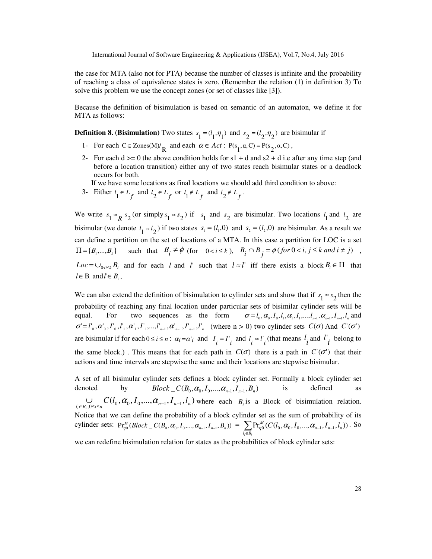the case for MTA (also not for PTA) because the number of classes is infinite and the probability of reaching a class of equivalence states is zero. (Remember the relation (1) in definition 3) To solve this problem we use the concept zones (or set of classes like [3]).

Because the definition of bisimulation is based on semantic of an automaton, we define it for MTA as follows:

**Definition 8. (Bisimulation)** Two states  $s_1 = (l_1, \eta_1)$  and  $s_2 = (l_2, \eta_2)$  are bisimular if

- 1- For each  $C \in \text{Zones}(M)/\frac{R}{R}$  and each  $\alpha \in Act : P(s_1, \alpha, C) = P(s_2, \alpha, C)$ ,
- 2- For each  $d \ge 0$  the above condition holds for s1 + d and s2 + d i.e after any time step (and before a location transition) either any of two states reach bisimular states or a deadlock occurs for both.

If we have some locations as final locations we should add third condition to above:

3- Either  $l_1 \in L_f$  and  $l_2 \in L_f$  or  $l_1 \notin L_f$  and  $l_2 \notin L_f$ .

We write  $s_1 \approx_R s_2$  (or simply  $s_1 \approx s_2$ ) if  $s_1$  and  $s_2$  are bisimular. Two locations  $l_1$  and  $l_2$  are bisimular (we denote  $l_1 \approx l_2$ ) if two states  $s_1 = (l_1, 0)$  and  $s_2 = (l_2, 0)$  are bisimular. As a result we can define a partition on the set of locations of a MTA. In this case a partition for LOC is a set  ${\Pi} = {B_1, ..., B_k}$ such that  $B_i \neq \emptyset$  (for  $0 < i \leq k$ ),  $B_i \cap B_j = \emptyset$  (for  $0 < i, j \leq k$  and  $i \neq j$ ),  $Loc = \cup_{0 \le i \le k} B_i$  and for each *l* and *l*' such that  $l \approx l$ ' iff there exists a block  $B_i \in \Pi$  that  $l \in B_i$  and  $l' \in B_i$ .

We can also extend the definition of bisimulation to cylinder sets and show that if  $s_1 \approx s_2$  then the probability of reaching any final location under particular sets of bisimilar cylinder sets will be equal. For two sequences as the form  $\sigma = l_0, \alpha_0, I_0, l_1, \alpha_1, I_1, \dots, l_{n-1}, \alpha_{n-1}, I_{n-1}, l_n$  and  $\sigma' = l'_0, \alpha'_0, l'_1, \alpha'_1, l'_1, \ldots, l'_{n-1}, \alpha'_{n-1}, l'_{n-1}, l'_n$  (where  $n > 0$ ) two cylinder sets  $C(\sigma)$  And  $C'(\sigma')$ are bisimular if for each  $0 \le i \le n$ :  $\alpha_i = \alpha'_i$  and  $I_i = I_i$  and  $I_i \approx I_i$  (that means  $I_i$  and  $I_i$  belong to the same block.). This means that for each path in  $C(\sigma)$  there is a path in  $C'(\sigma')$  that their actions and time intervals are stepwise the same and their locations are stepwise bisimular.

A set of all bisimular cylinder sets defines a block cylinder set. Formally a block cylinder set denoted by  $Block \_ C(B_0, \alpha_0, I_0, ..., \alpha_{n-1}, I_{n-1}, B_n)$  is defined as  $\bigcup_{l_i \in B_i, 0 \le i \le n} C(l_0, \alpha_0, I_0, \dots, \alpha_{n-1}, I_{n-1}, l_n)$  where each  $B_i$  is a Block of bisimulation relation. Notice that we can define the probability of a block cylinder set as the sum of probability of its cylinder sets:  $Pr_{\eta_0}^M(Block\_C(B_0, \alpha_0, I_0, ..., \alpha_{n-1}, I_{n-1}, B_n)) = \sum_{l_i \in B_i} Pr_{\eta_0}^M(C(l_0, \alpha_0, I_0, ..., \alpha_{n-1}, I_{n-1})$  $\Pr_{\eta_0}^M(C(l_0, \alpha_0, I_0, \ldots, \alpha_{n-1}, I_{n-1}, l_n))$ . So

we can redefine bisimulation relation for states as the probabilities of block cylinder sets: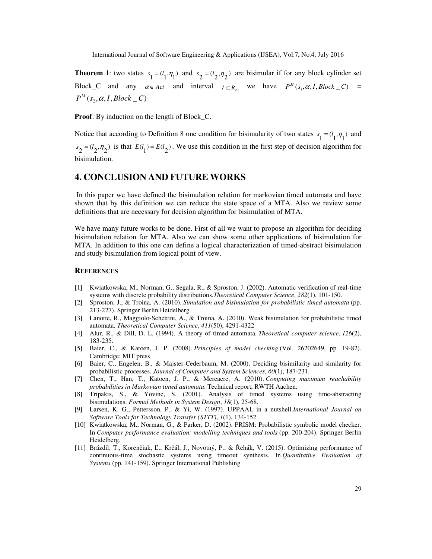**Theorem 1:** two states  $s_1 = (l_1, \eta_1)$  and  $s_2 = (l_2, \eta_2)$  are bisimular if for any block cylinder set Block\_C and any  $\alpha \in Act$  and interval  $I \subseteq R_{\geq 0}$  we have  $P^M(s_1, \alpha, I, Block_C)$  =  $P^M(s_2, \alpha, I, Block \_C)$ 

**Proof**: By induction on the length of Block\_C.

Notice that according to Definition 8 one condition for bisimularity of two states  $s_1 = (l_1, \eta_1)$  and  $s_2 = (l_2, \eta_2)$  is that  $E(l_1) = E(l_2)$ . We use this condition in the first step of decision algorithm for bisimulation.

## **4. CONCLUSION AND FUTURE WORKS**

 In this paper we have defined the bisimulation relation for markovian timed automata and have shown that by this definition we can reduce the state space of a MTA. Also we review some definitions that are necessary for decision algorithm for bisimulation of MTA.

We have many future works to be done. First of all we want to propose an algorithm for deciding bisimulation relation for MTA. Also we can show some other applications of bisimulation for MTA. In addition to this one can define a logical characterization of timed-abstract bisimulation and study bisimulation from logical point of view.

#### **REFERENCES**

- [1] Kwiatkowska, M., Norman, G., Segala, R., & Sproston, J. (2002). Automatic verification of real-time systems with discrete probability distributions.*Theoretical Computer Science*, *282*(1), 101-150.
- [2] Sproston, J., & Troina, A. (2010). *Simulation and bisimulation for probabilistic timed automata* (pp. 213-227). Springer Berlin Heidelberg.
- [3] Lanotte, R., Maggiolo-Schettini, A., & Troina, A. (2010). Weak bisimulation for probabilistic timed automata. *Theoretical Computer Science*, *411*(50), 4291-4322
- [4] Alur, R., & Dill, D. L. (1994). A theory of timed automata. *Theoretical computer science*, *126*(2), 183-235.
- [5] Baier, C., & Katoen, J. P. (2008). *Principles of model checking* (Vol. 26202649, pp. 19-82). Cambridge: MIT press
- [6] Baier, C., Engelen, B., & Majster-Cederbaum, M. (2000). Deciding bisimilarity and similarity for probabilistic processes. *Journal of Computer and System Sciences*, *60*(1), 187-231.
- [7] Chen, T., Han, T., Katoen, J. P., & Mereacre, A. (2010). *Computing maximum reachability probabilities in Markovian timed automata*. Technical report, RWTH Aachen.
- [8] Tripakis, S., & Yovine, S. (2001). Analysis of timed systems using time-abstracting bisimulations. *Formal Methods in System Design*, *18*(1), 25-68.
- [9] Larsen, K. G., Pettersson, P., & Yi, W. (1997). UPPAAL in a nutshell.*International Journal on Software Tools for Technology Transfer (STTT)*, *1*(1), 134-152
- [10] Kwiatkowska, M., Norman, G., & Parker, D. (2002). PRISM: Probabilistic symbolic model checker. In *Computer performance evaluation: modelling techniques and tools* (pp. 200-204). Springer Berlin Heidelberg.
- [11] Brázdil, T., Korenčiak, Ľ., Krčál, J., Novotný, P., & Řehák, V. (2015). Optimizing performance of continuous-time stochastic systems using timeout synthesis. In *Quantitative Evaluation of Systems* (pp. 141-159). Springer International Publishing